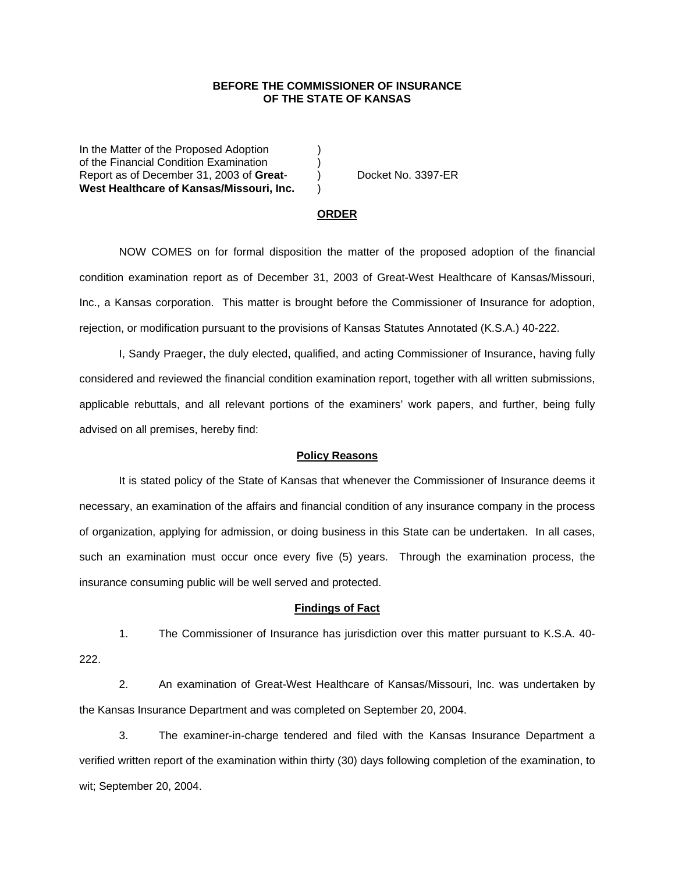## **BEFORE THE COMMISSIONER OF INSURANCE OF THE STATE OF KANSAS**

In the Matter of the Proposed Adoption of the Financial Condition Examination ) Report as of December 31, 2003 of **Great**- ) Docket No. 3397-ER **West Healthcare of Kansas/Missouri, Inc.** )

#### **ORDER**

 NOW COMES on for formal disposition the matter of the proposed adoption of the financial condition examination report as of December 31, 2003 of Great-West Healthcare of Kansas/Missouri, Inc., a Kansas corporation. This matter is brought before the Commissioner of Insurance for adoption, rejection, or modification pursuant to the provisions of Kansas Statutes Annotated (K.S.A.) 40-222.

 I, Sandy Praeger, the duly elected, qualified, and acting Commissioner of Insurance, having fully considered and reviewed the financial condition examination report, together with all written submissions, applicable rebuttals, and all relevant portions of the examiners' work papers, and further, being fully advised on all premises, hereby find:

## **Policy Reasons**

 It is stated policy of the State of Kansas that whenever the Commissioner of Insurance deems it necessary, an examination of the affairs and financial condition of any insurance company in the process of organization, applying for admission, or doing business in this State can be undertaken. In all cases, such an examination must occur once every five (5) years. Through the examination process, the insurance consuming public will be well served and protected.

#### **Findings of Fact**

 1. The Commissioner of Insurance has jurisdiction over this matter pursuant to K.S.A. 40- 222.

 2. An examination of Great-West Healthcare of Kansas/Missouri, Inc. was undertaken by the Kansas Insurance Department and was completed on September 20, 2004.

 3. The examiner-in-charge tendered and filed with the Kansas Insurance Department a verified written report of the examination within thirty (30) days following completion of the examination, to wit; September 20, 2004.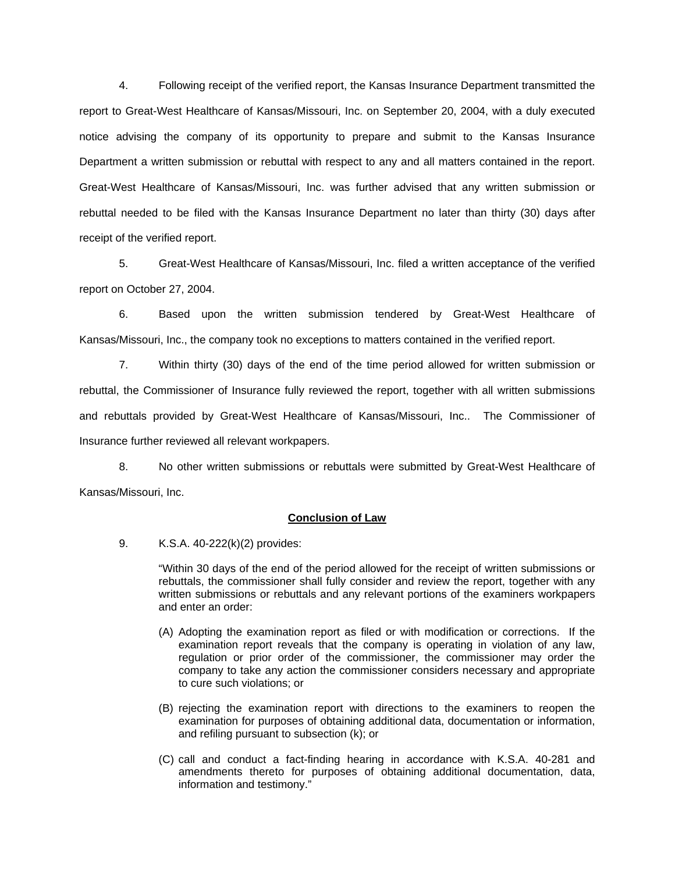4. Following receipt of the verified report, the Kansas Insurance Department transmitted the report to Great-West Healthcare of Kansas/Missouri, Inc. on September 20, 2004, with a duly executed notice advising the company of its opportunity to prepare and submit to the Kansas Insurance Department a written submission or rebuttal with respect to any and all matters contained in the report. Great-West Healthcare of Kansas/Missouri, Inc. was further advised that any written submission or rebuttal needed to be filed with the Kansas Insurance Department no later than thirty (30) days after receipt of the verified report.

 5. Great-West Healthcare of Kansas/Missouri, Inc. filed a written acceptance of the verified report on October 27, 2004.

 6. Based upon the written submission tendered by Great-West Healthcare of Kansas/Missouri, Inc., the company took no exceptions to matters contained in the verified report.

 7. Within thirty (30) days of the end of the time period allowed for written submission or rebuttal, the Commissioner of Insurance fully reviewed the report, together with all written submissions and rebuttals provided by Great-West Healthcare of Kansas/Missouri, Inc.. The Commissioner of Insurance further reviewed all relevant workpapers.

 8. No other written submissions or rebuttals were submitted by Great-West Healthcare of Kansas/Missouri, Inc.

## **Conclusion of Law**

9. K.S.A. 40-222(k)(2) provides:

"Within 30 days of the end of the period allowed for the receipt of written submissions or rebuttals, the commissioner shall fully consider and review the report, together with any written submissions or rebuttals and any relevant portions of the examiners workpapers and enter an order:

- (A) Adopting the examination report as filed or with modification or corrections. If the examination report reveals that the company is operating in violation of any law, regulation or prior order of the commissioner, the commissioner may order the company to take any action the commissioner considers necessary and appropriate to cure such violations; or
- (B) rejecting the examination report with directions to the examiners to reopen the examination for purposes of obtaining additional data, documentation or information, and refiling pursuant to subsection (k); or
- (C) call and conduct a fact-finding hearing in accordance with K.S.A. 40-281 and amendments thereto for purposes of obtaining additional documentation, data, information and testimony."